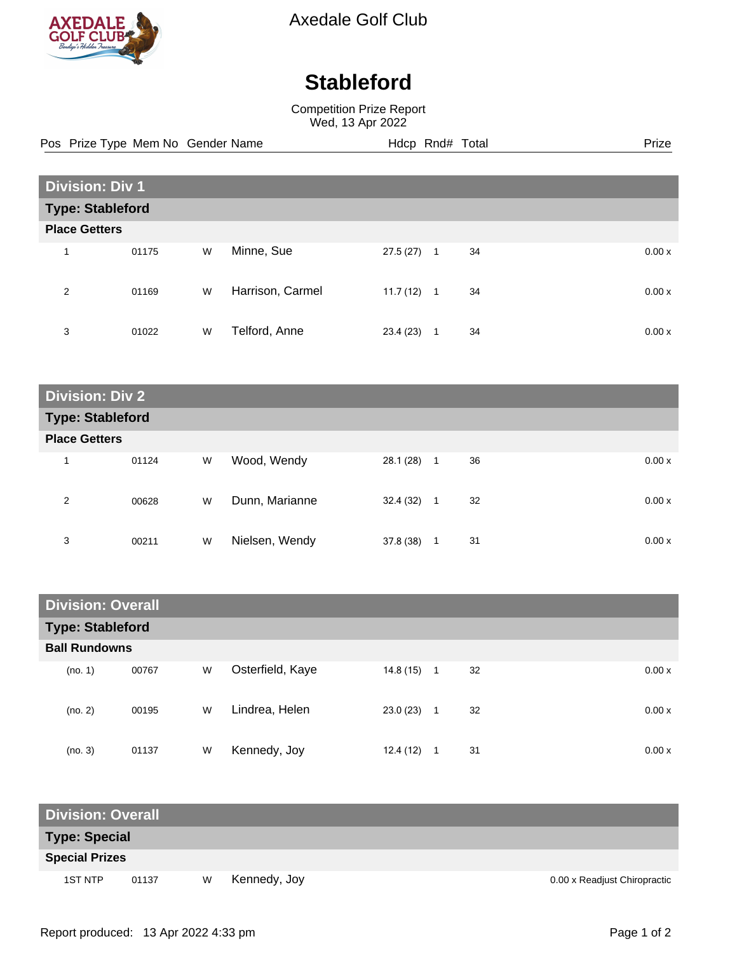

Axedale Golf Club

## **Stableford**

Competition Prize Report Wed, 13 Apr 2022

Pos Prize Type Mem No Gender Name **Hdcp Rnd# Total** Prize Prize

| <b>Division: Div 1</b>  |       |   |                  |          |              |    |  |       |  |
|-------------------------|-------|---|------------------|----------|--------------|----|--|-------|--|
| <b>Type: Stableford</b> |       |   |                  |          |              |    |  |       |  |
| <b>Place Getters</b>    |       |   |                  |          |              |    |  |       |  |
|                         | 01175 | W | Minne, Sue       | 27.5(27) | 1            | 34 |  | 0.00x |  |
|                         |       |   |                  |          |              |    |  |       |  |
| 2                       | 01169 | W | Harrison, Carmel | 11.7(12) | $\mathbf{1}$ | 34 |  | 0.00x |  |
|                         |       |   |                  |          |              |    |  |       |  |
| 3                       | 01022 | W | Telford, Anne    | 23.4(23) |              | 34 |  | 0.00x |  |

| <b>Division: Div 2</b>  |       |   |                |           |   |             |  |  |
|-------------------------|-------|---|----------------|-----------|---|-------------|--|--|
| <b>Type: Stableford</b> |       |   |                |           |   |             |  |  |
| <b>Place Getters</b>    |       |   |                |           |   |             |  |  |
| и                       | 01124 | W | Wood, Wendy    | 28.1 (28) | 1 | 36<br>0.00x |  |  |
| 2                       | 00628 | W | Dunn, Marianne | 32.4 (32) | 1 | 32<br>0.00x |  |  |
| 3                       | 00211 | W | Nielsen, Wendy | 37.8 (38) | 1 | 31<br>0.00x |  |  |

| <b>Division: Overall</b> |       |   |                  |           |                      |       |  |  |
|--------------------------|-------|---|------------------|-----------|----------------------|-------|--|--|
| <b>Type: Stableford</b>  |       |   |                  |           |                      |       |  |  |
| <b>Ball Rundowns</b>     |       |   |                  |           |                      |       |  |  |
| (no. 1)                  | 00767 | W | Osterfield, Kaye | 14.8 (15) | 32<br>$\overline{1}$ | 0.00x |  |  |
| (no. 2)                  | 00195 | W | Lindrea, Helen   | 23.0(23)  | 32<br>1              | 0.00x |  |  |
| (no. 3)                  | 01137 | W | Kennedy, Joy     | 12.4(12)  | 31                   | 0.00x |  |  |

| <b>Division: Overall</b> |       |   |              |                              |  |  |  |  |
|--------------------------|-------|---|--------------|------------------------------|--|--|--|--|
| Type: Special            |       |   |              |                              |  |  |  |  |
| <b>Special Prizes</b>    |       |   |              |                              |  |  |  |  |
| 1ST NTP                  | 01137 | W | Kennedy, Joy | 0.00 x Readjust Chiropractic |  |  |  |  |